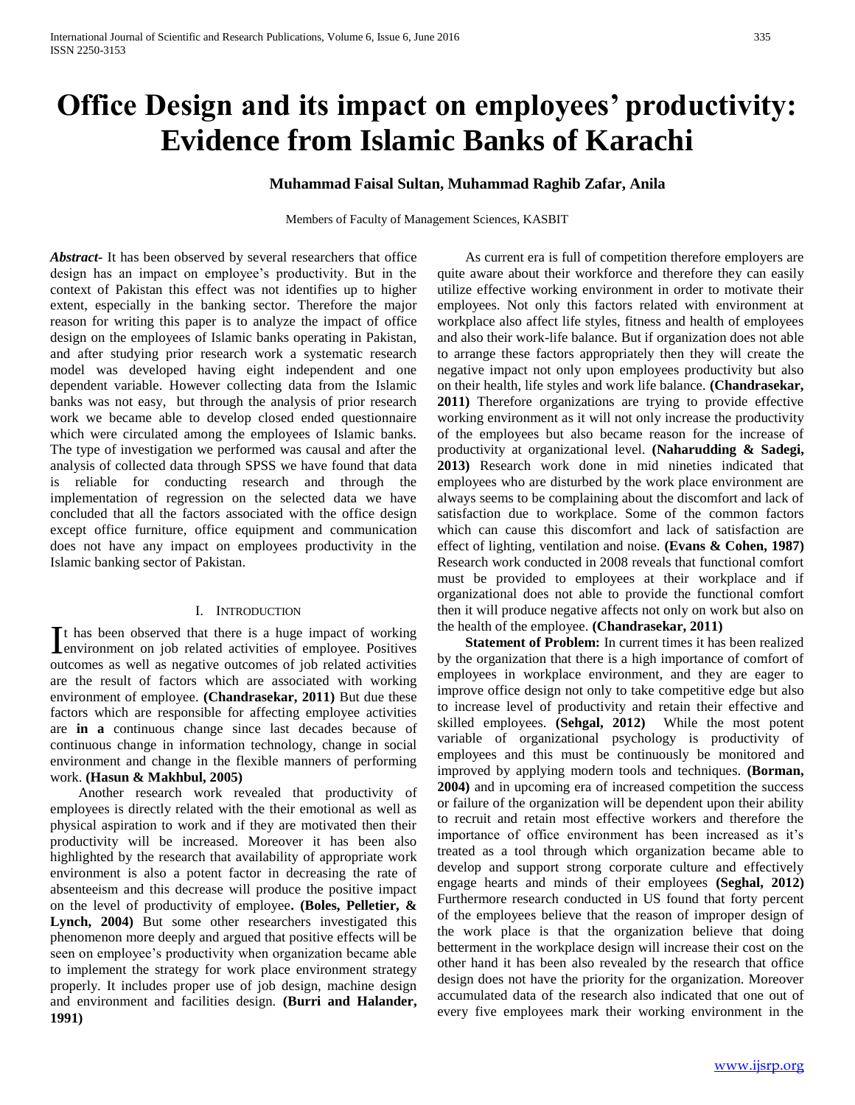# **Office Design and its impact on employees' productivity: Evidence from Islamic Banks of Karachi**

## **Muhammad Faisal Sultan, Muhammad Raghib Zafar, Anila**

Members of Faculty of Management Sciences, KASBIT

*Abstract***-** It has been observed by several researchers that office design has an impact on employee's productivity. But in the context of Pakistan this effect was not identifies up to higher extent, especially in the banking sector. Therefore the major reason for writing this paper is to analyze the impact of office design on the employees of Islamic banks operating in Pakistan, and after studying prior research work a systematic research model was developed having eight independent and one dependent variable. However collecting data from the Islamic banks was not easy, but through the analysis of prior research work we became able to develop closed ended questionnaire which were circulated among the employees of Islamic banks. The type of investigation we performed was causal and after the analysis of collected data through SPSS we have found that data is reliable for conducting research and through the implementation of regression on the selected data we have concluded that all the factors associated with the office design except office furniture, office equipment and communication does not have any impact on employees productivity in the Islamic banking sector of Pakistan.

#### I. INTRODUCTION

t has been observed that there is a huge impact of working It has been observed that there is a huge impact of working<br>
lenvironment on job related activities of employee. Positives outcomes as well as negative outcomes of job related activities are the result of factors which are associated with working environment of employee. **(Chandrasekar, 2011)** But due these factors which are responsible for affecting employee activities are **in a** continuous change since last decades because of continuous change in information technology, change in social environment and change in the flexible manners of performing work. **(Hasun & Makhbul, 2005)** 

 Another research work revealed that productivity of employees is directly related with the their emotional as well as physical aspiration to work and if they are motivated then their productivity will be increased. Moreover it has been also highlighted by the research that availability of appropriate work environment is also a potent factor in decreasing the rate of absenteeism and this decrease will produce the positive impact on the level of productivity of employee**. (Boles, Pelletier, & Lynch, 2004)** But some other researchers investigated this phenomenon more deeply and argued that positive effects will be seen on employee's productivity when organization became able to implement the strategy for work place environment strategy properly. It includes proper use of job design, machine design and environment and facilities design. **(Burri and Halander, 1991)** 

 As current era is full of competition therefore employers are quite aware about their workforce and therefore they can easily utilize effective working environment in order to motivate their employees. Not only this factors related with environment at workplace also affect life styles, fitness and health of employees and also their work-life balance. But if organization does not able to arrange these factors appropriately then they will create the negative impact not only upon employees productivity but also on their health, life styles and work life balance. **(Chandrasekar, 2011)** Therefore organizations are trying to provide effective working environment as it will not only increase the productivity of the employees but also became reason for the increase of productivity at organizational level. **(Naharudding & Sadegi, 2013)** Research work done in mid nineties indicated that employees who are disturbed by the work place environment are always seems to be complaining about the discomfort and lack of satisfaction due to workplace. Some of the common factors which can cause this discomfort and lack of satisfaction are effect of lighting, ventilation and noise. **(Evans & Cohen, 1987)** Research work conducted in 2008 reveals that functional comfort must be provided to employees at their workplace and if organizational does not able to provide the functional comfort then it will produce negative affects not only on work but also on the health of the employee. **(Chandrasekar, 2011)**

 **Statement of Problem:** In current times it has been realized by the organization that there is a high importance of comfort of employees in workplace environment, and they are eager to improve office design not only to take competitive edge but also to increase level of productivity and retain their effective and skilled employees. **(Sehgal, 2012)** While the most potent variable of organizational psychology is productivity of employees and this must be continuously be monitored and improved by applying modern tools and techniques. **(Borman, 2004)** and in upcoming era of increased competition the success or failure of the organization will be dependent upon their ability to recruit and retain most effective workers and therefore the importance of office environment has been increased as it's treated as a tool through which organization became able to develop and support strong corporate culture and effectively engage hearts and minds of their employees **(Seghal, 2012)**  Furthermore research conducted in US found that forty percent of the employees believe that the reason of improper design of the work place is that the organization believe that doing betterment in the workplace design will increase their cost on the other hand it has been also revealed by the research that office design does not have the priority for the organization. Moreover accumulated data of the research also indicated that one out of every five employees mark their working environment in the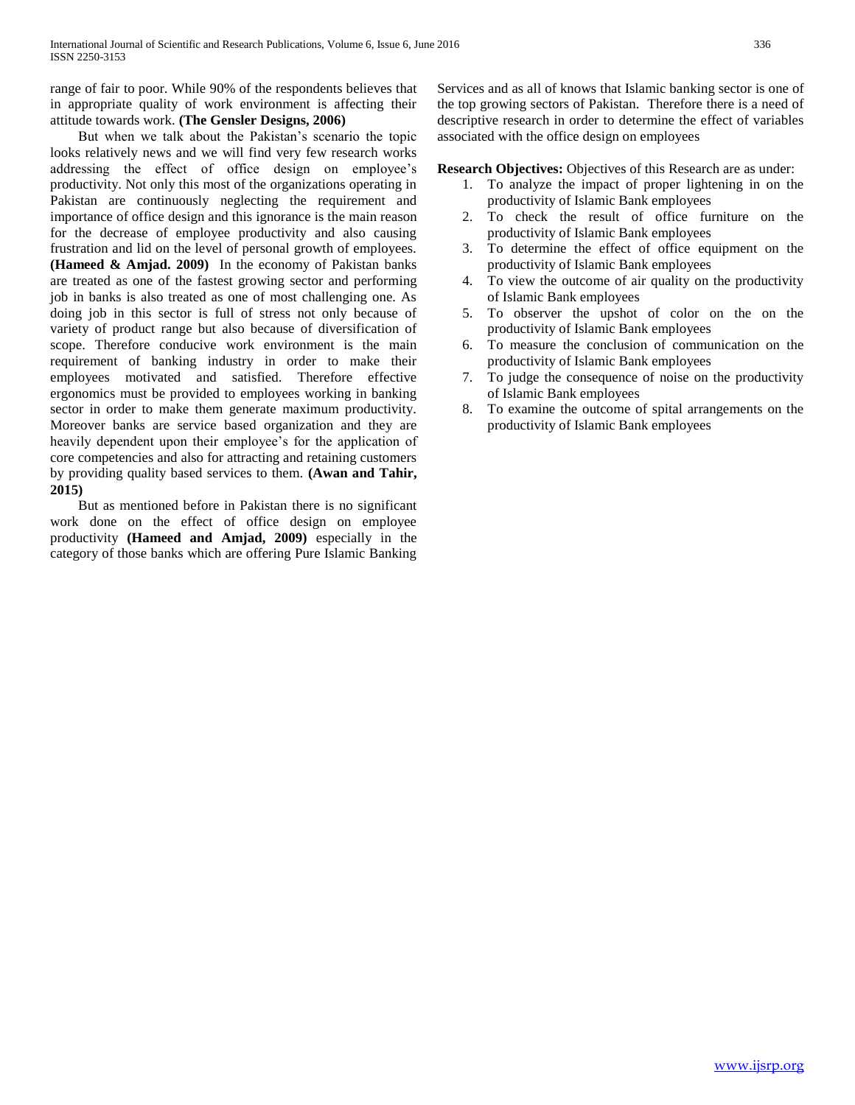range of fair to poor. While 90% of the respondents believes that in appropriate quality of work environment is affecting their attitude towards work. **(The Gensler Designs, 2006)** 

 But when we talk about the Pakistan's scenario the topic looks relatively news and we will find very few research works addressing the effect of office design on employee's productivity. Not only this most of the organizations operating in Pakistan are continuously neglecting the requirement and importance of office design and this ignorance is the main reason for the decrease of employee productivity and also causing frustration and lid on the level of personal growth of employees. **(Hameed & Amjad. 2009)** In the economy of Pakistan banks are treated as one of the fastest growing sector and performing job in banks is also treated as one of most challenging one. As doing job in this sector is full of stress not only because of variety of product range but also because of diversification of scope. Therefore conducive work environment is the main requirement of banking industry in order to make their employees motivated and satisfied. Therefore effective ergonomics must be provided to employees working in banking sector in order to make them generate maximum productivity. Moreover banks are service based organization and they are heavily dependent upon their employee's for the application of core competencies and also for attracting and retaining customers by providing quality based services to them. **(Awan and Tahir, 2015)**

 But as mentioned before in Pakistan there is no significant work done on the effect of office design on employee productivity **(Hameed and Amjad, 2009)** especially in the category of those banks which are offering Pure Islamic Banking Services and as all of knows that Islamic banking sector is one of the top growing sectors of Pakistan. Therefore there is a need of descriptive research in order to determine the effect of variables associated with the office design on employees

**Research Objectives:** Objectives of this Research are as under:

- 1. To analyze the impact of proper lightening in on the productivity of Islamic Bank employees
- 2. To check the result of office furniture on the productivity of Islamic Bank employees
- 3. To determine the effect of office equipment on the productivity of Islamic Bank employees
- 4. To view the outcome of air quality on the productivity of Islamic Bank employees
- 5. To observer the upshot of color on the on the productivity of Islamic Bank employees
- 6. To measure the conclusion of communication on the productivity of Islamic Bank employees
- 7. To judge the consequence of noise on the productivity of Islamic Bank employees
- 8. To examine the outcome of spital arrangements on the productivity of Islamic Bank employees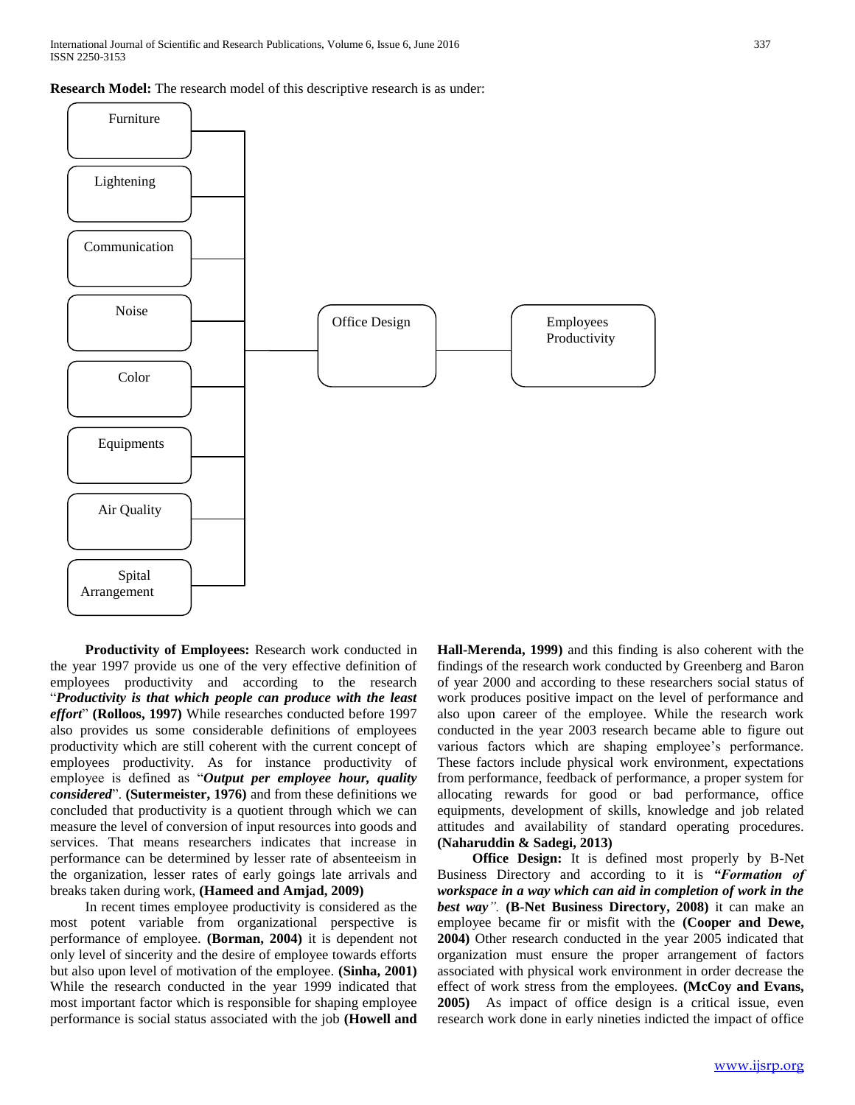**Research Model:** The research model of this descriptive research is as under:



 **Productivity of Employees:** Research work conducted in the year 1997 provide us one of the very effective definition of employees productivity and according to the research "*Productivity is that which people can produce with the least effort*" **(Rolloos, 1997)** While researches conducted before 1997 also provides us some considerable definitions of employees productivity which are still coherent with the current concept of employees productivity. As for instance productivity of employee is defined as "*Output per employee hour, quality considered*". **(Sutermeister, 1976)** and from these definitions we concluded that productivity is a quotient through which we can measure the level of conversion of input resources into goods and services. That means researchers indicates that increase in performance can be determined by lesser rate of absenteeism in the organization, lesser rates of early goings late arrivals and breaks taken during work, **(Hameed and Amjad, 2009)** 

In recent times employee productivity is considered as the most potent variable from organizational perspective is performance of employee. **(Borman, 2004)** it is dependent not only level of sincerity and the desire of employee towards efforts but also upon level of motivation of the employee. **(Sinha, 2001)**  While the research conducted in the year 1999 indicated that most important factor which is responsible for shaping employee performance is social status associated with the job **(Howell and**  **Hall-Merenda, 1999)** and this finding is also coherent with the findings of the research work conducted by Greenberg and Baron of year 2000 and according to these researchers social status of work produces positive impact on the level of performance and also upon career of the employee. While the research work conducted in the year 2003 research became able to figure out various factors which are shaping employee's performance. These factors include physical work environment, expectations from performance, feedback of performance, a proper system for allocating rewards for good or bad performance, office equipments, development of skills, knowledge and job related attitudes and availability of standard operating procedures. **(Naharuddin & Sadegi, 2013)** 

 **Office Design:** It is defined most properly by B-Net Business Directory and according to it is *"Formation of workspace in a way which can aid in completion of work in the best way".* **(B-Net Business Directory, 2008)** it can make an employee became fir or misfit with the **(Cooper and Dewe, 2004)** Other research conducted in the year 2005 indicated that organization must ensure the proper arrangement of factors associated with physical work environment in order decrease the effect of work stress from the employees. **(McCoy and Evans, 2005)** As impact of office design is a critical issue, even research work done in early nineties indicted the impact of office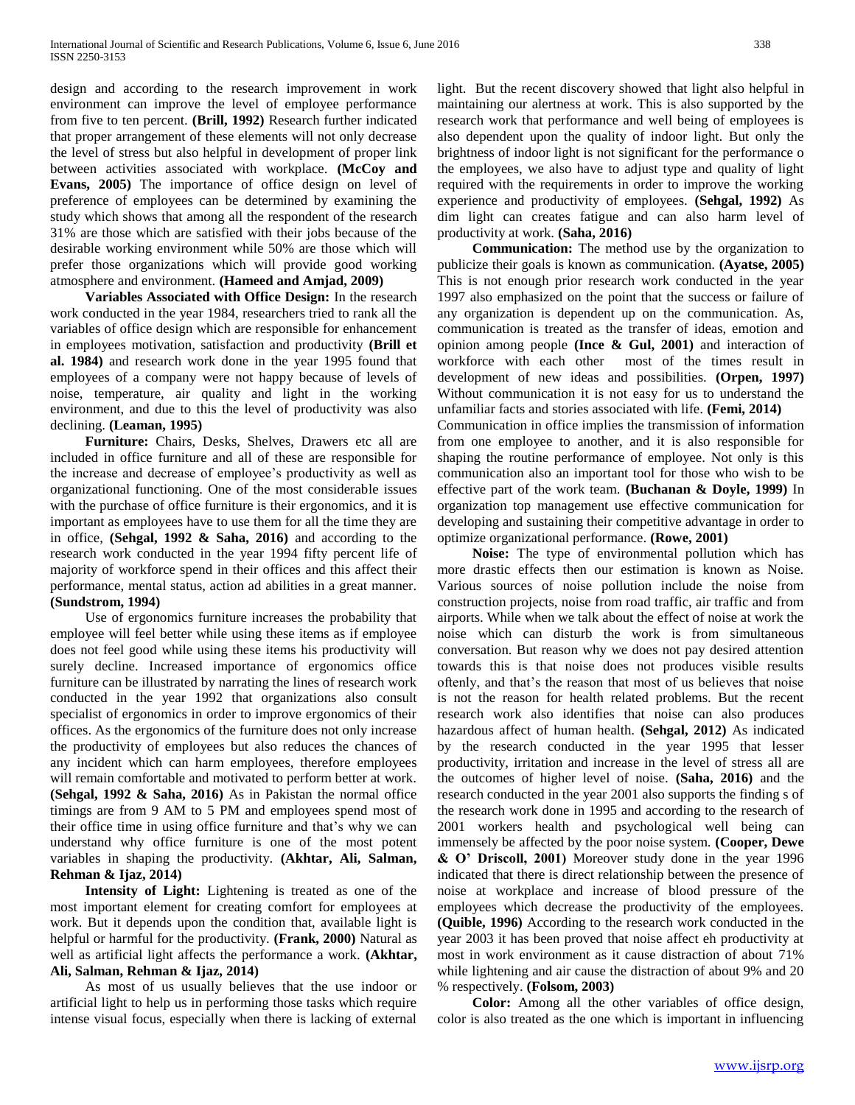design and according to the research improvement in work environment can improve the level of employee performance from five to ten percent. **(Brill, 1992)** Research further indicated that proper arrangement of these elements will not only decrease the level of stress but also helpful in development of proper link between activities associated with workplace. **(McCoy and Evans, 2005)** The importance of office design on level of preference of employees can be determined by examining the study which shows that among all the respondent of the research 31% are those which are satisfied with their jobs because of the desirable working environment while 50% are those which will prefer those organizations which will provide good working atmosphere and environment. **(Hameed and Amjad, 2009)** 

 **Variables Associated with Office Design:** In the research work conducted in the year 1984, researchers tried to rank all the variables of office design which are responsible for enhancement in employees motivation, satisfaction and productivity **(Brill et al. 1984)** and research work done in the year 1995 found that employees of a company were not happy because of levels of noise, temperature, air quality and light in the working environment, and due to this the level of productivity was also declining. **(Leaman, 1995)** 

 **Furniture:** Chairs, Desks, Shelves, Drawers etc all are included in office furniture and all of these are responsible for the increase and decrease of employee's productivity as well as organizational functioning. One of the most considerable issues with the purchase of office furniture is their ergonomics, and it is important as employees have to use them for all the time they are in office, **(Sehgal, 1992 & Saha, 2016)** and according to the research work conducted in the year 1994 fifty percent life of majority of workforce spend in their offices and this affect their performance, mental status, action ad abilities in a great manner. **(Sundstrom, 1994)** 

Use of ergonomics furniture increases the probability that employee will feel better while using these items as if employee does not feel good while using these items his productivity will surely decline. Increased importance of ergonomics office furniture can be illustrated by narrating the lines of research work conducted in the year 1992 that organizations also consult specialist of ergonomics in order to improve ergonomics of their offices. As the ergonomics of the furniture does not only increase the productivity of employees but also reduces the chances of any incident which can harm employees, therefore employees will remain comfortable and motivated to perform better at work. **(Sehgal, 1992 & Saha, 2016)** As in Pakistan the normal office timings are from 9 AM to 5 PM and employees spend most of their office time in using office furniture and that's why we can understand why office furniture is one of the most potent variables in shaping the productivity. **(Akhtar, Ali, Salman, Rehman & Ijaz, 2014)** 

 **Intensity of Light:** Lightening is treated as one of the most important element for creating comfort for employees at work. But it depends upon the condition that, available light is helpful or harmful for the productivity. **(Frank, 2000)** Natural as well as artificial light affects the performance a work. **(Akhtar, Ali, Salman, Rehman & Ijaz, 2014)** 

As most of us usually believes that the use indoor or artificial light to help us in performing those tasks which require intense visual focus, especially when there is lacking of external light. But the recent discovery showed that light also helpful in maintaining our alertness at work. This is also supported by the research work that performance and well being of employees is also dependent upon the quality of indoor light. But only the brightness of indoor light is not significant for the performance o the employees, we also have to adjust type and quality of light required with the requirements in order to improve the working experience and productivity of employees. **(Sehgal, 1992)** As dim light can creates fatigue and can also harm level of productivity at work. **(Saha, 2016)**

 **Communication:** The method use by the organization to publicize their goals is known as communication. **(Ayatse, 2005)** This is not enough prior research work conducted in the year 1997 also emphasized on the point that the success or failure of any organization is dependent up on the communication. As, communication is treated as the transfer of ideas, emotion and opinion among people **(Ince & Gul, 2001)** and interaction of workforce with each other most of the times result in development of new ideas and possibilities. **(Orpen, 1997)**  Without communication it is not easy for us to understand the unfamiliar facts and stories associated with life. **(Femi, 2014)**

Communication in office implies the transmission of information from one employee to another, and it is also responsible for shaping the routine performance of employee. Not only is this communication also an important tool for those who wish to be effective part of the work team. **(Buchanan & Doyle, 1999)** In organization top management use effective communication for developing and sustaining their competitive advantage in order to optimize organizational performance. **(Rowe, 2001)** 

 **Noise:** The type of environmental pollution which has more drastic effects then our estimation is known as Noise. Various sources of noise pollution include the noise from construction projects, noise from road traffic, air traffic and from airports. While when we talk about the effect of noise at work the noise which can disturb the work is from simultaneous conversation. But reason why we does not pay desired attention towards this is that noise does not produces visible results oftenly, and that's the reason that most of us believes that noise is not the reason for health related problems. But the recent research work also identifies that noise can also produces hazardous affect of human health. **(Sehgal, 2012)** As indicated by the research conducted in the year 1995 that lesser productivity, irritation and increase in the level of stress all are the outcomes of higher level of noise. **(Saha, 2016)** and the research conducted in the year 2001 also supports the finding s of the research work done in 1995 and according to the research of 2001 workers health and psychological well being can immensely be affected by the poor noise system. **(Cooper, Dewe & O' Driscoll, 2001)** Moreover study done in the year 1996 indicated that there is direct relationship between the presence of noise at workplace and increase of blood pressure of the employees which decrease the productivity of the employees. **(Quible, 1996)** According to the research work conducted in the year 2003 it has been proved that noise affect eh productivity at most in work environment as it cause distraction of about 71% while lightening and air cause the distraction of about 9% and 20 % respectively. **(Folsom, 2003)**

 **Color:** Among all the other variables of office design, color is also treated as the one which is important in influencing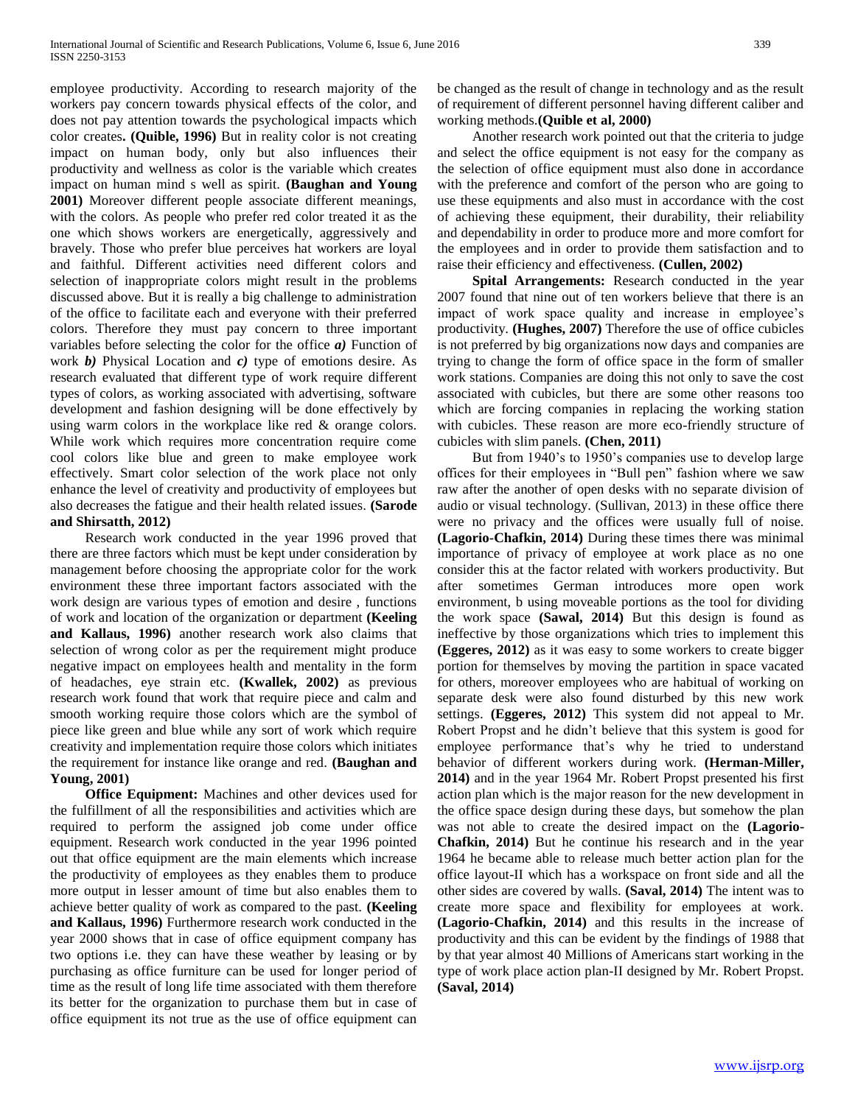employee productivity. According to research majority of the workers pay concern towards physical effects of the color, and does not pay attention towards the psychological impacts which color creates**. (Quible, 1996)** But in reality color is not creating impact on human body, only but also influences their productivity and wellness as color is the variable which creates impact on human mind s well as spirit. **(Baughan and Young 2001)** Moreover different people associate different meanings, with the colors. As people who prefer red color treated it as the one which shows workers are energetically, aggressively and bravely. Those who prefer blue perceives hat workers are loyal and faithful. Different activities need different colors and selection of inappropriate colors might result in the problems discussed above. But it is really a big challenge to administration of the office to facilitate each and everyone with their preferred colors. Therefore they must pay concern to three important variables before selecting the color for the office *a)* Function of work *b)* Physical Location and *c)* type of emotions desire. As research evaluated that different type of work require different types of colors, as working associated with advertising, software development and fashion designing will be done effectively by using warm colors in the workplace like red & orange colors. While work which requires more concentration require come cool colors like blue and green to make employee work effectively. Smart color selection of the work place not only enhance the level of creativity and productivity of employees but also decreases the fatigue and their health related issues. **(Sarode and Shirsatth, 2012)** 

Research work conducted in the year 1996 proved that there are three factors which must be kept under consideration by management before choosing the appropriate color for the work environment these three important factors associated with the work design are various types of emotion and desire , functions of work and location of the organization or department **(Keeling and Kallaus, 1996)** another research work also claims that selection of wrong color as per the requirement might produce negative impact on employees health and mentality in the form of headaches, eye strain etc. **(Kwallek, 2002)** as previous research work found that work that require piece and calm and smooth working require those colors which are the symbol of piece like green and blue while any sort of work which require creativity and implementation require those colors which initiates the requirement for instance like orange and red. **(Baughan and Young, 2001)**

 **Office Equipment:** Machines and other devices used for the fulfillment of all the responsibilities and activities which are required to perform the assigned job come under office equipment. Research work conducted in the year 1996 pointed out that office equipment are the main elements which increase the productivity of employees as they enables them to produce more output in lesser amount of time but also enables them to achieve better quality of work as compared to the past. **(Keeling and Kallaus, 1996)** Furthermore research work conducted in the year 2000 shows that in case of office equipment company has two options i.e. they can have these weather by leasing or by purchasing as office furniture can be used for longer period of time as the result of long life time associated with them therefore its better for the organization to purchase them but in case of office equipment its not true as the use of office equipment can

be changed as the result of change in technology and as the result of requirement of different personnel having different caliber and working methods.**(Quible et al, 2000)** 

Another research work pointed out that the criteria to judge and select the office equipment is not easy for the company as the selection of office equipment must also done in accordance with the preference and comfort of the person who are going to use these equipments and also must in accordance with the cost of achieving these equipment, their durability, their reliability and dependability in order to produce more and more comfort for the employees and in order to provide them satisfaction and to raise their efficiency and effectiveness. **(Cullen, 2002)**

 **Spital Arrangements:** Research conducted in the year 2007 found that nine out of ten workers believe that there is an impact of work space quality and increase in employee's productivity. **(Hughes, 2007)** Therefore the use of office cubicles is not preferred by big organizations now days and companies are trying to change the form of office space in the form of smaller work stations. Companies are doing this not only to save the cost associated with cubicles, but there are some other reasons too which are forcing companies in replacing the working station with cubicles. These reason are more eco-friendly structure of cubicles with slim panels. **(Chen, 2011)**

But from 1940's to 1950's companies use to develop large offices for their employees in "Bull pen" fashion where we saw raw after the another of open desks with no separate division of audio or visual technology. (Sullivan, 2013) in these office there were no privacy and the offices were usually full of noise. **(Lagorio-Chafkin, 2014)** During these times there was minimal importance of privacy of employee at work place as no one consider this at the factor related with workers productivity. But after sometimes German introduces more open work environment, b using moveable portions as the tool for dividing the work space **(Sawal, 2014)** But this design is found as ineffective by those organizations which tries to implement this **(Eggeres, 2012)** as it was easy to some workers to create bigger portion for themselves by moving the partition in space vacated for others, moreover employees who are habitual of working on separate desk were also found disturbed by this new work settings. **(Eggeres, 2012)** This system did not appeal to Mr. Robert Propst and he didn't believe that this system is good for employee performance that's why he tried to understand behavior of different workers during work. **(Herman-Miller, 2014)** and in the year 1964 Mr. Robert Propst presented his first action plan which is the major reason for the new development in the office space design during these days, but somehow the plan was not able to create the desired impact on the **(Lagorio-Chafkin, 2014)** But he continue his research and in the year 1964 he became able to release much better action plan for the office layout-II which has a workspace on front side and all the other sides are covered by walls. **(Saval, 2014)** The intent was to create more space and flexibility for employees at work. **(Lagorio-Chafkin, 2014)** and this results in the increase of productivity and this can be evident by the findings of 1988 that by that year almost 40 Millions of Americans start working in the type of work place action plan-II designed by Mr. Robert Propst. **(Saval, 2014)**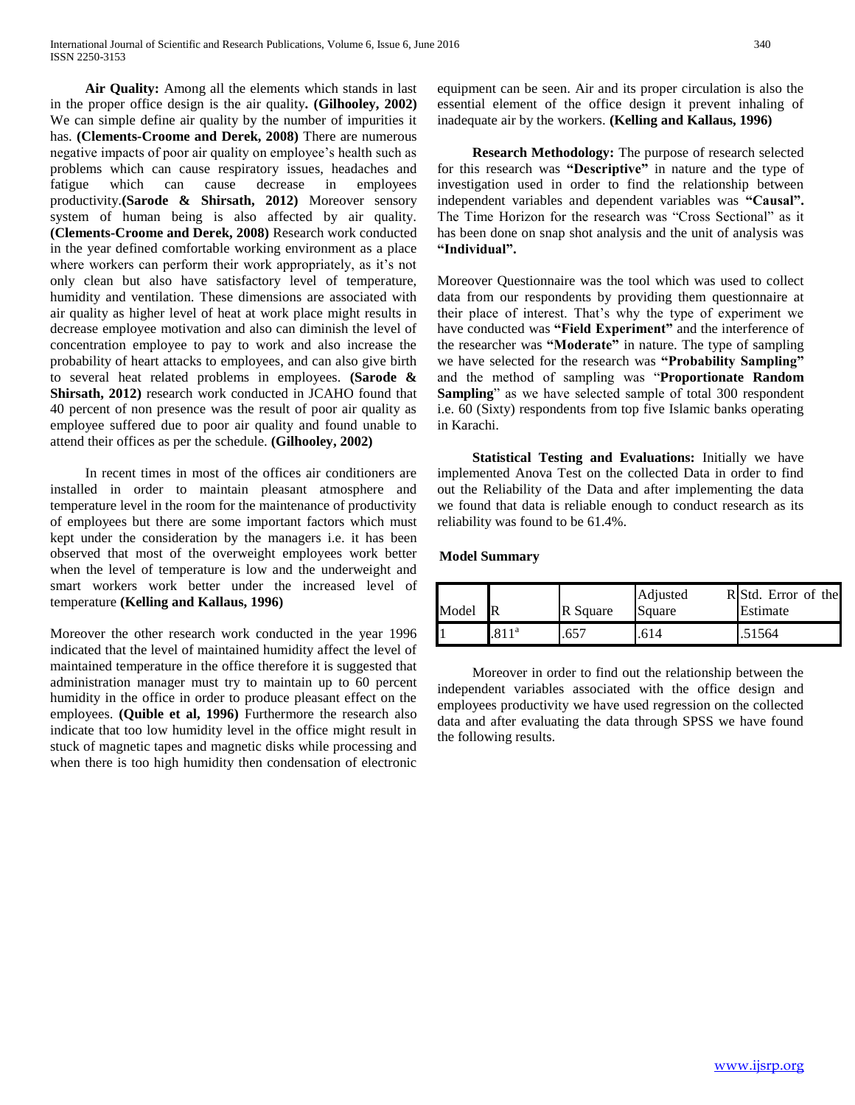**Air Quality:** Among all the elements which stands in last in the proper office design is the air quality**. (Gilhooley, 2002)** We can simple define air quality by the number of impurities it has. **(Clements-Croome and Derek, 2008)** There are numerous negative impacts of poor air quality on employee's health such as problems which can cause respiratory issues, headaches and fatigue which can cause decrease in employees productivity.**(Sarode & Shirsath, 2012)** Moreover sensory system of human being is also affected by air quality. **(Clements-Croome and Derek, 2008)** Research work conducted in the year defined comfortable working environment as a place where workers can perform their work appropriately, as it's not only clean but also have satisfactory level of temperature, humidity and ventilation. These dimensions are associated with air quality as higher level of heat at work place might results in decrease employee motivation and also can diminish the level of concentration employee to pay to work and also increase the probability of heart attacks to employees, and can also give birth to several heat related problems in employees. **(Sarode & Shirsath, 2012)** research work conducted in JCAHO found that 40 percent of non presence was the result of poor air quality as employee suffered due to poor air quality and found unable to attend their offices as per the schedule. **(Gilhooley, 2002)**

In recent times in most of the offices air conditioners are installed in order to maintain pleasant atmosphere and temperature level in the room for the maintenance of productivity of employees but there are some important factors which must kept under the consideration by the managers i.e. it has been observed that most of the overweight employees work better when the level of temperature is low and the underweight and smart workers work better under the increased level of temperature **(Kelling and Kallaus, 1996)** 

Moreover the other research work conducted in the year 1996 indicated that the level of maintained humidity affect the level of maintained temperature in the office therefore it is suggested that administration manager must try to maintain up to 60 percent humidity in the office in order to produce pleasant effect on the employees. **(Quible et al, 1996)** Furthermore the research also indicate that too low humidity level in the office might result in stuck of magnetic tapes and magnetic disks while processing and when there is too high humidity then condensation of electronic

equipment can be seen. Air and its proper circulation is also the essential element of the office design it prevent inhaling of inadequate air by the workers. **(Kelling and Kallaus, 1996)**

 **Research Methodology:** The purpose of research selected for this research was **"Descriptive"** in nature and the type of investigation used in order to find the relationship between independent variables and dependent variables was **"Causal".**  The Time Horizon for the research was "Cross Sectional" as it has been done on snap shot analysis and the unit of analysis was **"Individual".** 

Moreover Questionnaire was the tool which was used to collect data from our respondents by providing them questionnaire at their place of interest. That's why the type of experiment we have conducted was **"Field Experiment"** and the interference of the researcher was **"Moderate"** in nature. The type of sampling we have selected for the research was **"Probability Sampling"**  and the method of sampling was "**Proportionate Random Sampling**" as we have selected sample of total 300 respondent i.e. 60 (Sixty) respondents from top five Islamic banks operating in Karachi.

 **Statistical Testing and Evaluations:** Initially we have implemented Anova Test on the collected Data in order to find out the Reliability of the Data and after implementing the data we found that data is reliable enough to conduct research as its reliability was found to be 61.4%.

**Model Summary**

| Model |         | R Square | Adjusted<br>Square | R Std. Error of the<br>Estimate |
|-------|---------|----------|--------------------|---------------------------------|
|       | $-811a$ | .657     |                    | .51564                          |

Moreover in order to find out the relationship between the independent variables associated with the office design and employees productivity we have used regression on the collected data and after evaluating the data through SPSS we have found the following results.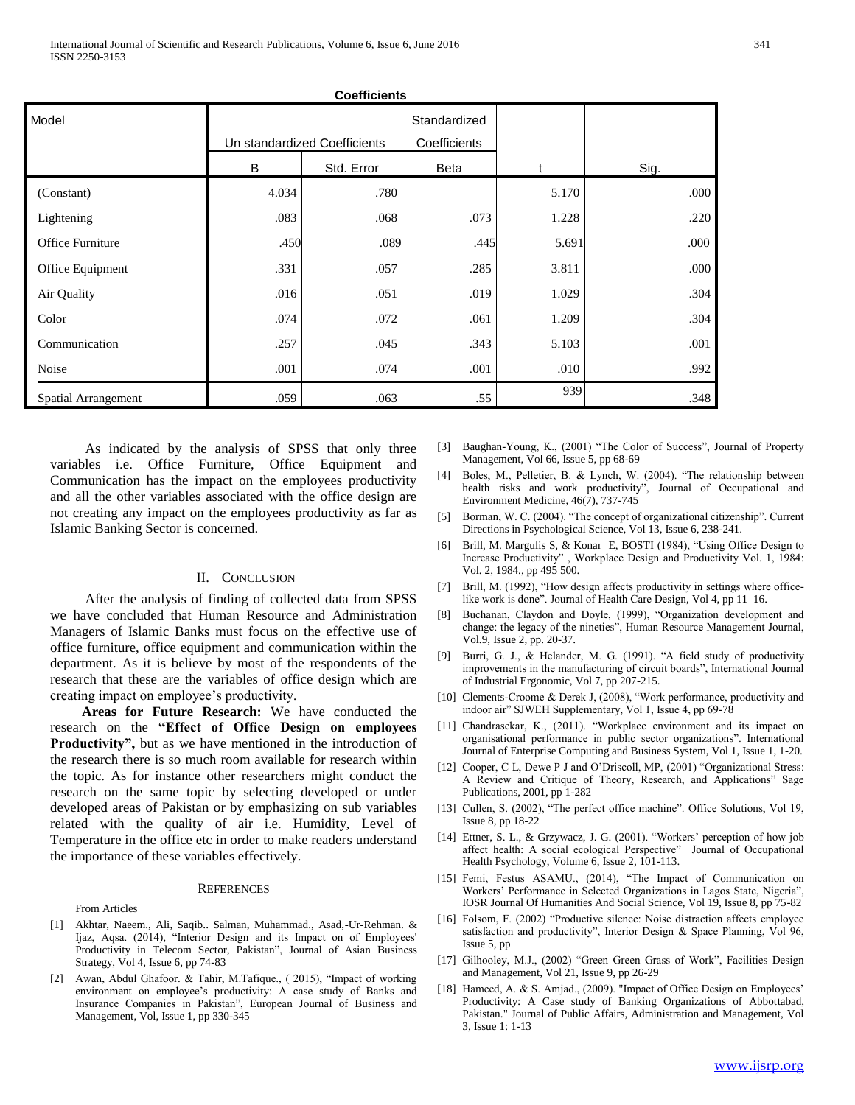| <b>Coefficients</b> |                              |            |                              |       |      |  |  |  |
|---------------------|------------------------------|------------|------------------------------|-------|------|--|--|--|
| Model               | Un standardized Coefficients |            | Standardized<br>Coefficients |       |      |  |  |  |
|                     | B                            | Std. Error | Beta                         | t     | Sig. |  |  |  |
| (Constant)          | 4.034                        | .780       |                              | 5.170 | .000 |  |  |  |
| Lightening          | .083                         | .068       | .073                         | 1.228 | .220 |  |  |  |
| Office Furniture    | .450                         | .089       | .445                         | 5.691 | .000 |  |  |  |
| Office Equipment    | .331                         | .057       | .285                         | 3.811 | .000 |  |  |  |
| Air Quality         | .016                         | .051       | .019                         | 1.029 | .304 |  |  |  |
| Color               | .074                         | .072       | .061                         | 1.209 | .304 |  |  |  |
| Communication       | .257                         | .045       | .343                         | 5.103 | .001 |  |  |  |
| Noise               | .001                         | .074       | .001                         | .010  | .992 |  |  |  |
| Spatial Arrangement | .059                         | .063       | .55                          | 939   | .348 |  |  |  |

As indicated by the analysis of SPSS that only three variables i.e. Office Furniture, Office Equipment and Communication has the impact on the employees productivity and all the other variables associated with the office design are not creating any impact on the employees productivity as far as Islamic Banking Sector is concerned.

## II. CONCLUSION

After the analysis of finding of collected data from SPSS we have concluded that Human Resource and Administration Managers of Islamic Banks must focus on the effective use of office furniture, office equipment and communication within the department. As it is believe by most of the respondents of the research that these are the variables of office design which are creating impact on employee's productivity.

 **Areas for Future Research:** We have conducted the research on the **"Effect of Office Design on employees Productivity",** but as we have mentioned in the introduction of the research there is so much room available for research within the topic. As for instance other researchers might conduct the research on the same topic by selecting developed or under developed areas of Pakistan or by emphasizing on sub variables related with the quality of air i.e. Humidity, Level of Temperature in the office etc in order to make readers understand the importance of these variables effectively.

#### **REFERENCES**

From Articles

- [1] Akhtar, Naeem., Ali, Saqib.. Salman, Muhammad., Asad,-Ur-Rehman. & Ijaz, Aqsa. (2014), "Interior Design and its Impact on of Employees' Productivity in Telecom Sector, Pakistan", Journal of Asian Business Strategy, Vol 4, Issue 6, pp 74-83
- [2] Awan, Abdul Ghafoor. & Tahir, M.Tafique., ( 2015), "Impact of working environment on employee's productivity: A case study of Banks and Insurance Companies in Pakistan", European Journal of Business and Management, Vol, Issue 1, pp 330-345
- [3] Baughan-Young, K., (2001) "The Color of Success", Journal of Property Management, Vol 66, Issue 5, pp 68-69
- [4] Boles, M., Pelletier, B. & Lynch, W. (2004). "The relationship between health risks and work productivity", Journal of Occupational and Environment Medicine, 46(7), 737-745
- [5] Borman, W. C. (2004). "The concept of organizational citizenship". Current Directions in Psychological Science, Vol 13, Issue 6, 238-241.
- [6] Brill, M. Margulis S, & Konar E, BOSTI (1984), "Using Office Design to Increase Productivity" , Workplace Design and Productivity Vol. 1, 1984: Vol. 2, 1984., pp 495 500.
- [7] Brill, M. (1992), "How design affects productivity in settings where officelike work is done". Journal of Health Care Design, Vol 4, pp 11–16.
- [8] Buchanan, Claydon and Doyle, (1999), "Organization development and change: the legacy of the nineties", Human Resource Management Journal, Vol.9, Issue 2, pp. 20-37.
- [9] Burri, G. J., & Helander, M. G. (1991). "A field study of productivity improvements in the manufacturing of circuit boards", International Journal of Industrial Ergonomic, Vol 7, pp 207-215.
- [10] Clements-Croome & Derek J, (2008), "Work performance, productivity and indoor air" SJWEH Supplementary, Vol 1, Issue 4, pp 69-78
- [11] Chandrasekar, K., (2011). "Workplace environment and its impact on organisational performance in public sector organizations". International Journal of Enterprise Computing and Business System, Vol 1, Issue 1, 1-20.
- [12] Cooper, C L, Dewe P J and O'Driscoll, MP, (2001) "Organizational Stress: A Review and Critique of Theory, Research, and Applications" Sage Publications, 2001, pp 1-282
- [13] Cullen, S. (2002), "The perfect office machine". Office Solutions, Vol 19, Issue 8, pp 18-22
- [14] Ettner, S. L., & Grzywacz, J. G. (2001). "Workers' perception of how job affect health: A social ecological Perspective" Journal of Occupational Health Psychology, Volume 6, Issue 2, 101-113.
- [15] Femi, Festus ASAMU., (2014), "The Impact of Communication on Workers' Performance in Selected Organizations in Lagos State, Nigeria", IOSR Journal Of Humanities And Social Science, Vol 19, Issue 8, pp 75-82
- [16] Folsom, F. (2002) "Productive silence: Noise distraction affects employee satisfaction and productivity", Interior Design & Space Planning, Vol 96, Issue 5, pp
- [17] Gilhooley, M.J., (2002) "Green Green Grass of Work", Facilities Design and Management, Vol 21, Issue 9, pp 26-29
- [18] Hameed, A. & S. Amjad., (2009). "Impact of Office Design on Employees' Productivity: A Case study of Banking Organizations of Abbottabad, Pakistan." Journal of Public Affairs, Administration and Management, Vol 3, Issue 1: 1-13